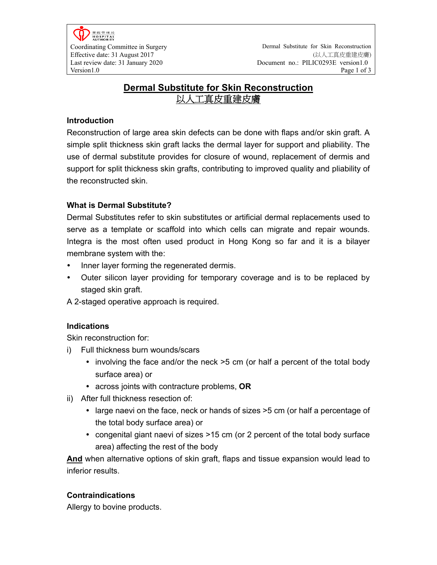醫院管理局 **HOSPITAL**<br>AUTHORITY

# **Dermal Substitute for Skin Reconstruction**  以人工真皮重建皮膚

#### **Introduction**

Reconstruction of large area skin defects can be done with flaps and/or skin graft. A simple split thickness skin graft lacks the dermal layer for support and pliability. The use of dermal substitute provides for closure of wound, replacement of dermis and support for split thickness skin grafts, contributing to improved quality and pliability of the reconstructed skin.

## **What is Dermal Substitute?**

Dermal Substitutes refer to skin substitutes or artificial dermal replacements used to serve as a template or scaffold into which cells can migrate and repair wounds. Integra is the most often used product in Hong Kong so far and it is a bilayer membrane system with the:

- Inner layer forming the regenerated dermis.
- Outer silicon layer providing for temporary coverage and is to be replaced by staged skin graft.

A 2-staged operative approach is required.

#### **Indications**

Skin reconstruction for:

- i) Full thickness burn wounds/scars
	- involving the face and/or the neck  $>5$  cm (or half a percent of the total body surface area) or
	- across joints with contracture problems, **OR**
- ii) After full thickness resection of:
	- large naevi on the face, neck or hands of sizes >5 cm (or half a percentage of the total body surface area) or
	- congenital giant naevi of sizes >15 cm (or 2 percent of the total body surface area) affecting the rest of the body

**And** when alternative options of skin graft, flaps and tissue expansion would lead to inferior results.

## **Contraindications**

Allergy to bovine products.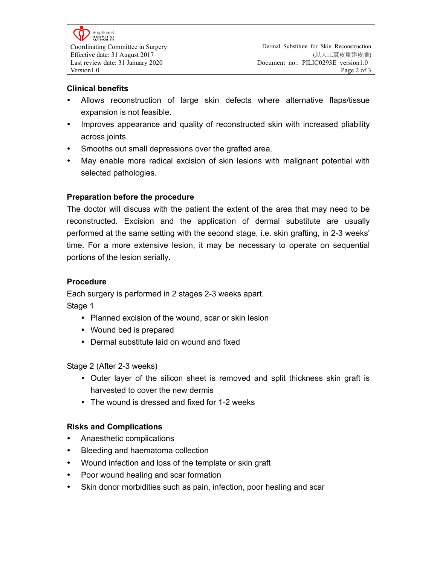## **Clinical benefits**

- Allows reconstruction of large skin defects where alternative flaps/tissue expansion is not feasible.
- Improves appearance and quality of reconstructed skin with increased pliability across joints.
- Smooths out small depressions over the grafted area.
- May enable more radical excision of skin lesions with malignant potential with selected pathologies.

## **Preparation before the procedure**

The doctor will discuss with the patient the extent of the area that may need to be reconstructed. Excision and the application of dermal substitute are usually performed at the same setting with the second stage, i.e. skin grafting, in 2-3 weeks' time. For a more extensive lesion, it may be necessary to operate on sequential portions of the lesion serially.

#### **Procedure**

Each surgery is performed in 2 stages 2-3 weeks apart. Stage 1

- Planned excision of the wound, scar or skin lesion
- Wound bed is prepared
- Dermal substitute laid on wound and fixed

Stage 2 (After 2-3 weeks)

- Outer layer of the silicon sheet is removed and split thickness skin graft is harvested to cover the new dermis
- The wound is dressed and fixed for 1-2 weeks

## **Risks and Complications**

- Anaesthetic complications
- Bleeding and haematoma collection
- Wound infection and loss of the template or skin graft
- Poor wound healing and scar formation
- Skin donor morbidities such as pain, infection, poor healing and scar